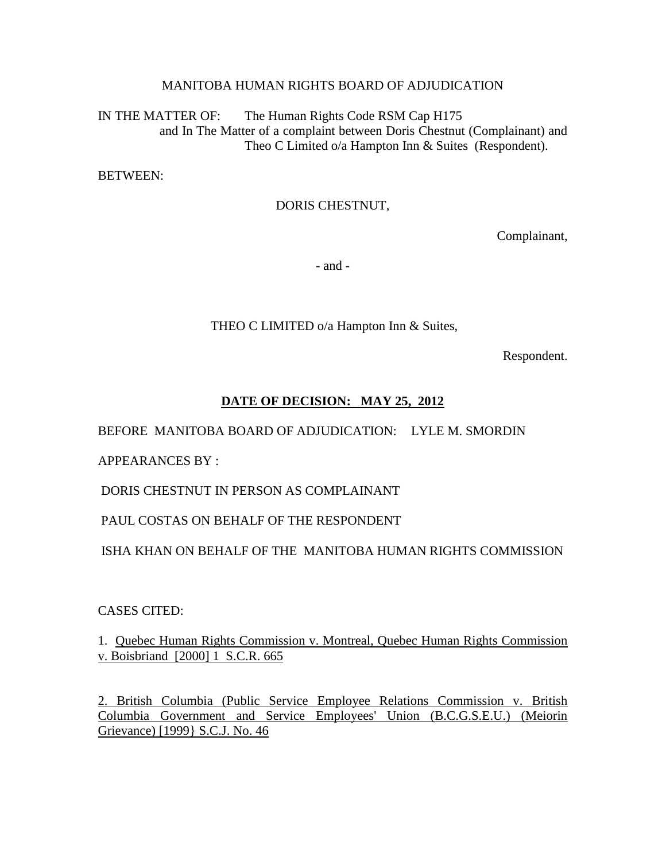## MANITOBA HUMAN RIGHTS BOARD OF ADJUDICATION

IN THE MATTER OF: The Human Rights Code RSM Cap H175 and In The Matter of a complaint between Doris Chestnut (Complainant) and Theo C Limited o/a Hampton Inn & Suites (Respondent).

BETWEEN:

## DORIS CHESTNUT,

Complainant,

- and -

THEO C LIMITED o/a Hampton Inn & Suites,

Respondent.

# **DATE OF DECISION: MAY 25, 2012**

BEFORE MANITOBA BOARD OF ADJUDICATION: LYLE M. SMORDIN

APPEARANCES BY :

DORIS CHESTNUT IN PERSON AS COMPLAINANT

# PAUL COSTAS ON BEHALF OF THE RESPONDENT

ISHA KHAN ON BEHALF OF THE MANITOBA HUMAN RIGHTS COMMISSION

## CASES CITED:

1. Quebec Human Rights Commission v. Montreal, Quebec Human Rights Commission v. Boisbriand [2000] 1 S.C.R. 665

2. British Columbia (Public Service Employee Relations Commission v. British Columbia Government and Service Employees' Union (B.C.G.S.E.U.) (Meiorin Grievance) [1999} S.C.J. No. 46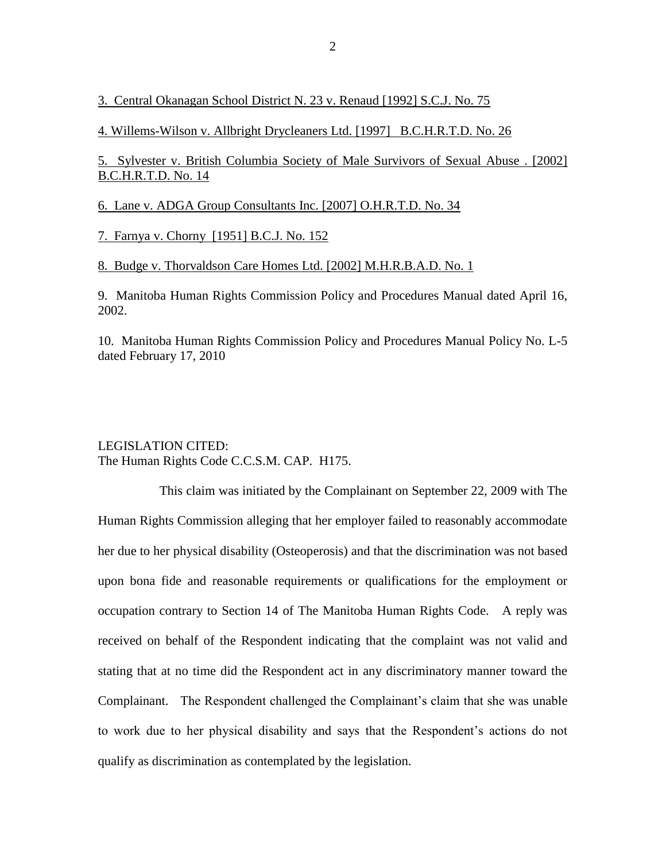3. Central Okanagan School District N. 23 v. Renaud [1992] S.C.J. No. 75

4. Willems-Wilson v. Allbright Drycleaners Ltd. [1997] B.C.H.R.T.D. No. 26

5. Sylvester v. British Columbia Society of Male Survivors of Sexual Abuse . [2002] B.C.H.R.T.D. No. 14

6. Lane v. ADGA Group Consultants Inc. [2007] O.H.R.T.D. No. 34

7. Farnya v. Chorny [1951] B.C.J. No. 152

8. Budge v. Thorvaldson Care Homes Ltd. [2002] M.H.R.B.A.D. No. 1

9. Manitoba Human Rights Commission Policy and Procedures Manual dated April 16, 2002.

10. Manitoba Human Rights Commission Policy and Procedures Manual Policy No. L-5 dated February 17, 2010

#### LEGISLATION CITED: The Human Rights Code C.C.S.M. CAP. H175.

This claim was initiated by the Complainant on September 22, 2009 with The Human Rights Commission alleging that her employer failed to reasonably accommodate her due to her physical disability (Osteoperosis) and that the discrimination was not based upon bona fide and reasonable requirements or qualifications for the employment or occupation contrary to Section 14 of The Manitoba Human Rights Code. A reply was received on behalf of the Respondent indicating that the complaint was not valid and stating that at no time did the Respondent act in any discriminatory manner toward the Complainant. The Respondent challenged the Complainant's claim that she was unable to work due to her physical disability and says that the Respondent's actions do not qualify as discrimination as contemplated by the legislation.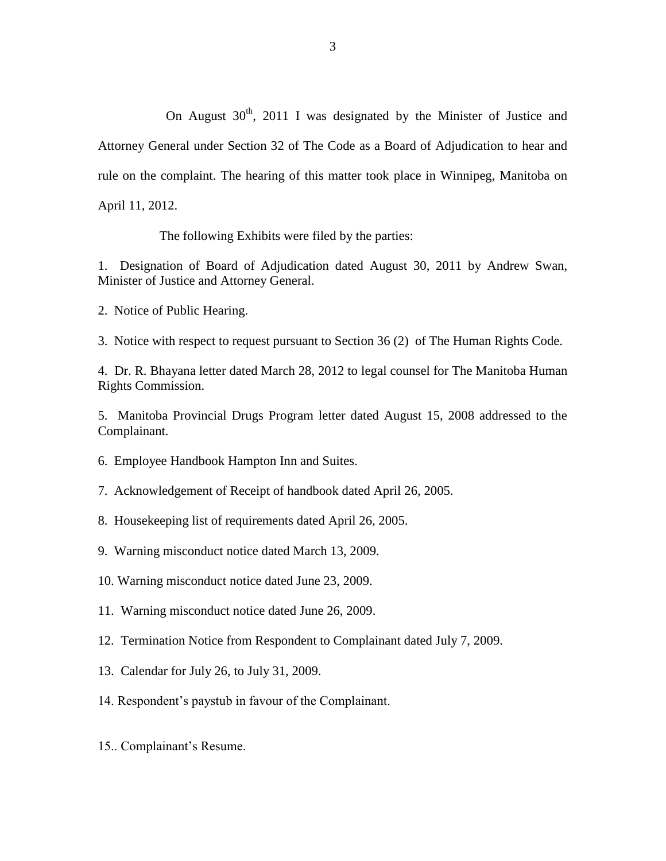On August  $30<sup>th</sup>$ , 2011 I was designated by the Minister of Justice and Attorney General under Section 32 of The Code as a Board of Adjudication to hear and rule on the complaint. The hearing of this matter took place in Winnipeg, Manitoba on April 11, 2012.

The following Exhibits were filed by the parties:

1. Designation of Board of Adjudication dated August 30, 2011 by Andrew Swan, Minister of Justice and Attorney General.

2. Notice of Public Hearing.

3. Notice with respect to request pursuant to Section 36 (2) of The Human Rights Code.

4. Dr. R. Bhayana letter dated March 28, 2012 to legal counsel for The Manitoba Human Rights Commission.

5. Manitoba Provincial Drugs Program letter dated August 15, 2008 addressed to the Complainant.

- 6. Employee Handbook Hampton Inn and Suites.
- 7. Acknowledgement of Receipt of handbook dated April 26, 2005.
- 8. Housekeeping list of requirements dated April 26, 2005.
- 9. Warning misconduct notice dated March 13, 2009.
- 10. Warning misconduct notice dated June 23, 2009.
- 11. Warning misconduct notice dated June 26, 2009.
- 12. Termination Notice from Respondent to Complainant dated July 7, 2009.
- 13. Calendar for July 26, to July 31, 2009.
- 14. Respondent's paystub in favour of the Complainant.
- 15.. Complainant's Resume.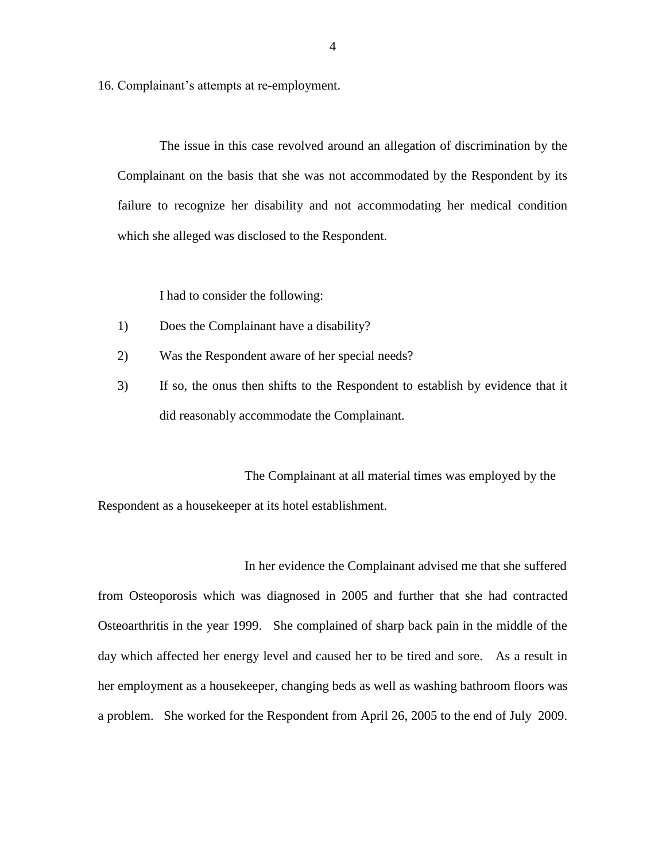16. Complainant's attempts at re-employment.

The issue in this case revolved around an allegation of discrimination by the Complainant on the basis that she was not accommodated by the Respondent by its failure to recognize her disability and not accommodating her medical condition which she alleged was disclosed to the Respondent.

I had to consider the following:

- 1) Does the Complainant have a disability?
- 2) Was the Respondent aware of her special needs?
- 3) If so, the onus then shifts to the Respondent to establish by evidence that it did reasonably accommodate the Complainant.

The Complainant at all material times was employed by the Respondent as a housekeeper at its hotel establishment.

In her evidence the Complainant advised me that she suffered from Osteoporosis which was diagnosed in 2005 and further that she had contracted Osteoarthritis in the year 1999. She complained of sharp back pain in the middle of the day which affected her energy level and caused her to be tired and sore. As a result in her employment as a housekeeper, changing beds as well as washing bathroom floors was a problem. She worked for the Respondent from April 26, 2005 to the end of July 2009.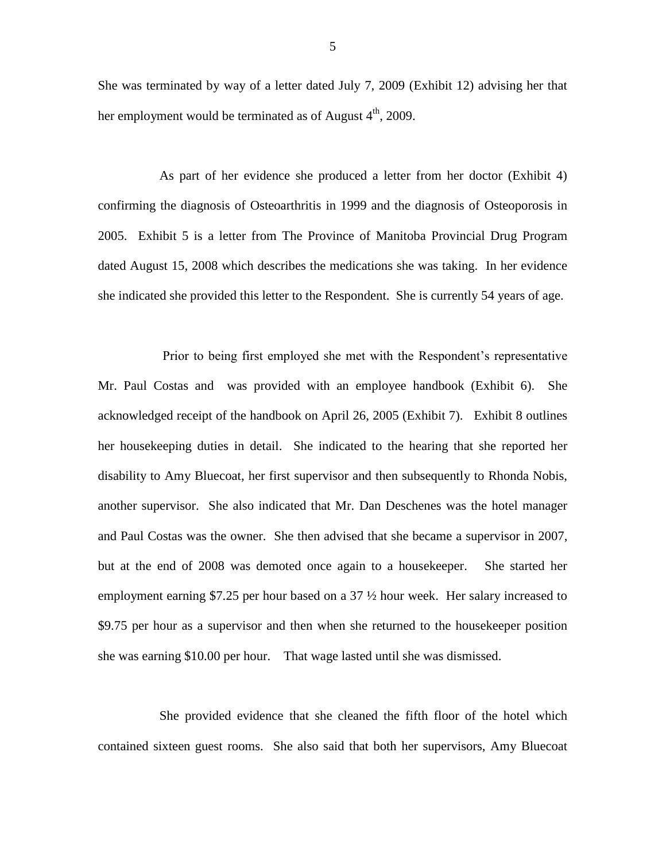She was terminated by way of a letter dated July 7, 2009 (Exhibit 12) advising her that her employment would be terminated as of August  $4<sup>th</sup>$ , 2009.

As part of her evidence she produced a letter from her doctor (Exhibit 4) confirming the diagnosis of Osteoarthritis in 1999 and the diagnosis of Osteoporosis in 2005. Exhibit 5 is a letter from The Province of Manitoba Provincial Drug Program dated August 15, 2008 which describes the medications she was taking. In her evidence she indicated she provided this letter to the Respondent. She is currently 54 years of age.

Prior to being first employed she met with the Respondent's representative Mr. Paul Costas and was provided with an employee handbook (Exhibit 6). She acknowledged receipt of the handbook on April 26, 2005 (Exhibit 7). Exhibit 8 outlines her housekeeping duties in detail. She indicated to the hearing that she reported her disability to Amy Bluecoat, her first supervisor and then subsequently to Rhonda Nobis, another supervisor. She also indicated that Mr. Dan Deschenes was the hotel manager and Paul Costas was the owner. She then advised that she became a supervisor in 2007, but at the end of 2008 was demoted once again to a housekeeper. She started her employment earning \$7.25 per hour based on a 37 ½ hour week. Her salary increased to \$9.75 per hour as a supervisor and then when she returned to the housekeeper position she was earning \$10.00 per hour. That wage lasted until she was dismissed.

She provided evidence that she cleaned the fifth floor of the hotel which contained sixteen guest rooms. She also said that both her supervisors, Amy Bluecoat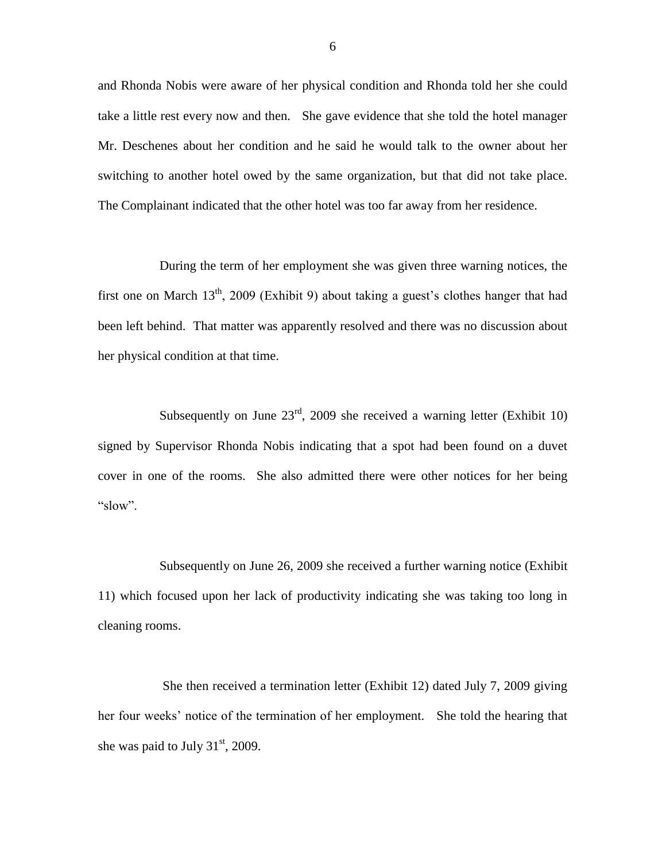and Rhonda Nobis were aware of her physical condition and Rhonda told her she could take a little rest every now and then. She gave evidence that she told the hotel manager Mr. Deschenes about her condition and he said he would talk to the owner about her switching to another hotel owed by the same organization, but that did not take place. The Complainant indicated that the other hotel was too far away from her residence.

During the term of her employment she was given three warning notices, the first one on March  $13<sup>th</sup>$ , 2009 (Exhibit 9) about taking a guest's clothes hanger that had been left behind. That matter was apparently resolved and there was no discussion about her physical condition at that time.

Subsequently on June  $23<sup>rd</sup>$ , 2009 she received a warning letter (Exhibit 10) signed by Supervisor Rhonda Nobis indicating that a spot had been found on a duvet cover in one of the rooms. She also admitted there were other notices for her being "slow".

Subsequently on June 26, 2009 she received a further warning notice (Exhibit 11) which focused upon her lack of productivity indicating she was taking too long in cleaning rooms.

She then received a termination letter (Exhibit 12) dated July 7, 2009 giving her four weeks' notice of the termination of her employment. She told the hearing that she was paid to July  $31<sup>st</sup>$ , 2009.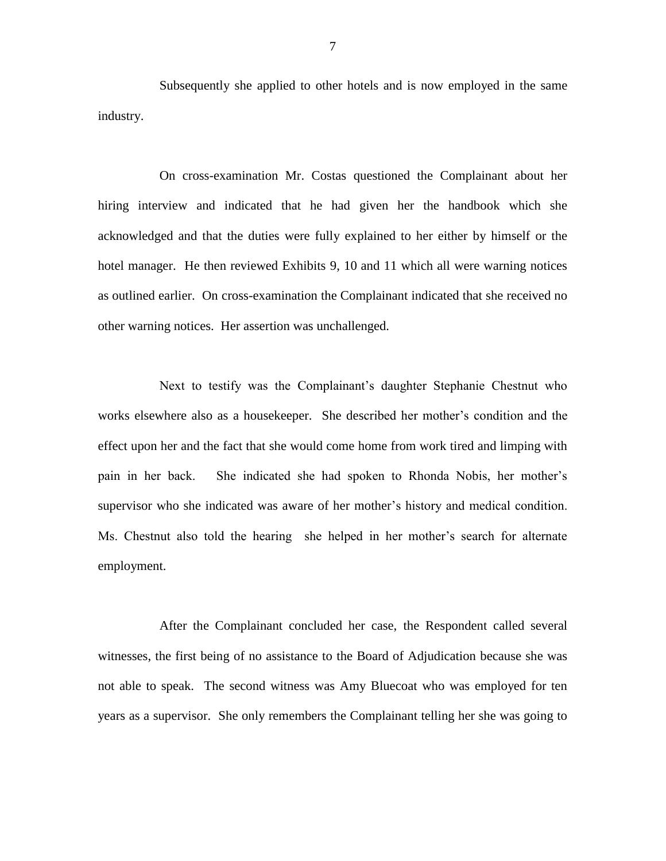Subsequently she applied to other hotels and is now employed in the same industry.

On cross-examination Mr. Costas questioned the Complainant about her hiring interview and indicated that he had given her the handbook which she acknowledged and that the duties were fully explained to her either by himself or the hotel manager. He then reviewed Exhibits 9, 10 and 11 which all were warning notices as outlined earlier. On cross-examination the Complainant indicated that she received no other warning notices. Her assertion was unchallenged.

Next to testify was the Complainant's daughter Stephanie Chestnut who works elsewhere also as a housekeeper. She described her mother's condition and the effect upon her and the fact that she would come home from work tired and limping with pain in her back. She indicated she had spoken to Rhonda Nobis, her mother's supervisor who she indicated was aware of her mother's history and medical condition. Ms. Chestnut also told the hearing she helped in her mother's search for alternate employment.

After the Complainant concluded her case, the Respondent called several witnesses, the first being of no assistance to the Board of Adjudication because she was not able to speak. The second witness was Amy Bluecoat who was employed for ten years as a supervisor. She only remembers the Complainant telling her she was going to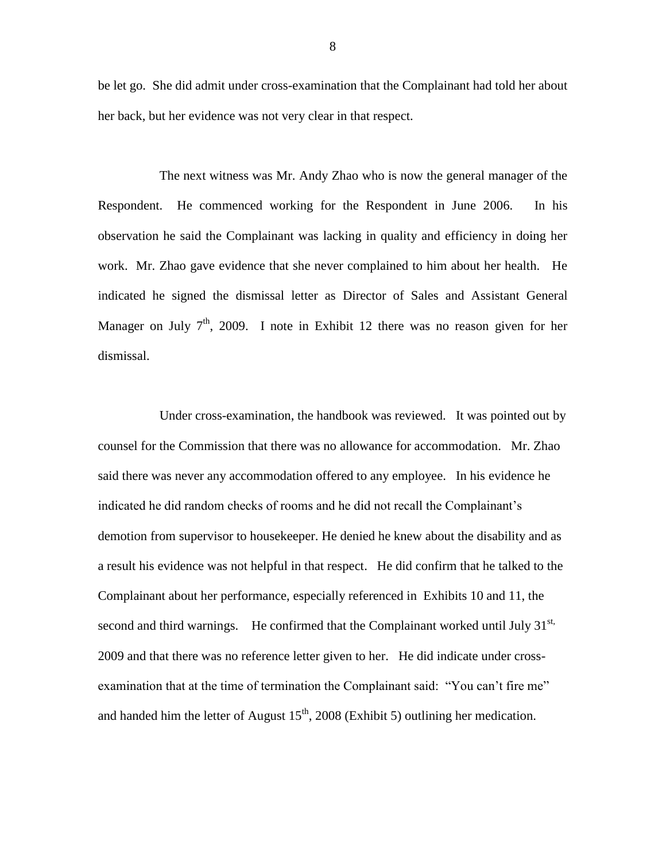be let go. She did admit under cross-examination that the Complainant had told her about her back, but her evidence was not very clear in that respect.

The next witness was Mr. Andy Zhao who is now the general manager of the Respondent. He commenced working for the Respondent in June 2006. In his observation he said the Complainant was lacking in quality and efficiency in doing her work. Mr. Zhao gave evidence that she never complained to him about her health. He indicated he signed the dismissal letter as Director of Sales and Assistant General Manager on July  $7<sup>th</sup>$ , 2009. I note in Exhibit 12 there was no reason given for her dismissal.

Under cross-examination, the handbook was reviewed. It was pointed out by counsel for the Commission that there was no allowance for accommodation. Mr. Zhao said there was never any accommodation offered to any employee. In his evidence he indicated he did random checks of rooms and he did not recall the Complainant's demotion from supervisor to housekeeper. He denied he knew about the disability and as a result his evidence was not helpful in that respect. He did confirm that he talked to the Complainant about her performance, especially referenced in Exhibits 10 and 11, the second and third warnings. He confirmed that the Complainant worked until July  $31<sup>st</sup>$ , 2009 and that there was no reference letter given to her. He did indicate under crossexamination that at the time of termination the Complainant said: "You can't fire me" and handed him the letter of August  $15<sup>th</sup>$ , 2008 (Exhibit 5) outlining her medication.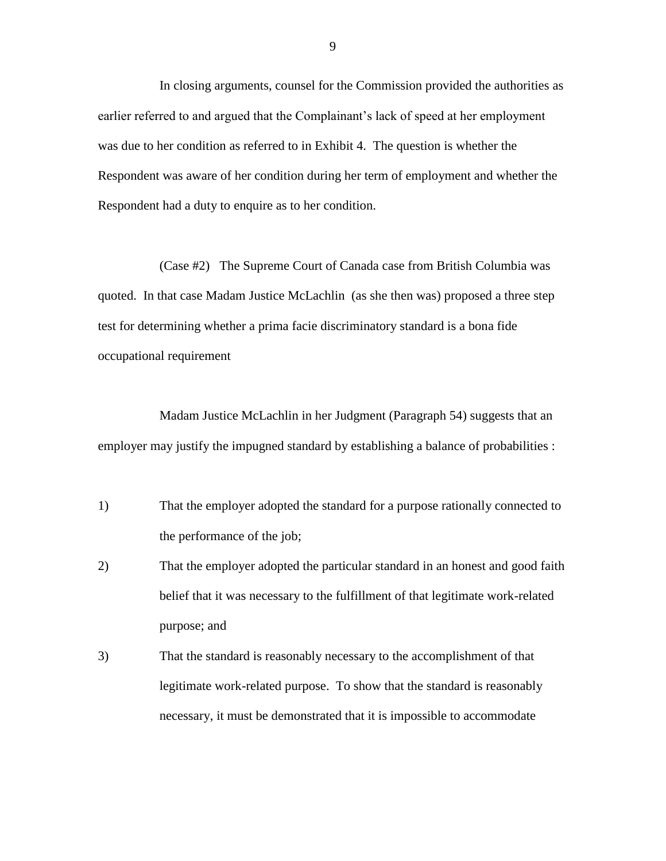In closing arguments, counsel for the Commission provided the authorities as earlier referred to and argued that the Complainant's lack of speed at her employment was due to her condition as referred to in Exhibit 4. The question is whether the Respondent was aware of her condition during her term of employment and whether the Respondent had a duty to enquire as to her condition.

(Case #2) The Supreme Court of Canada case from British Columbia was quoted. In that case Madam Justice McLachlin (as she then was) proposed a three step test for determining whether a prima facie discriminatory standard is a bona fide occupational requirement

Madam Justice McLachlin in her Judgment (Paragraph 54) suggests that an employer may justify the impugned standard by establishing a balance of probabilities :

- 1) That the employer adopted the standard for a purpose rationally connected to the performance of the job;
- 2) That the employer adopted the particular standard in an honest and good faith belief that it was necessary to the fulfillment of that legitimate work-related purpose; and
- 3) That the standard is reasonably necessary to the accomplishment of that legitimate work-related purpose. To show that the standard is reasonably necessary, it must be demonstrated that it is impossible to accommodate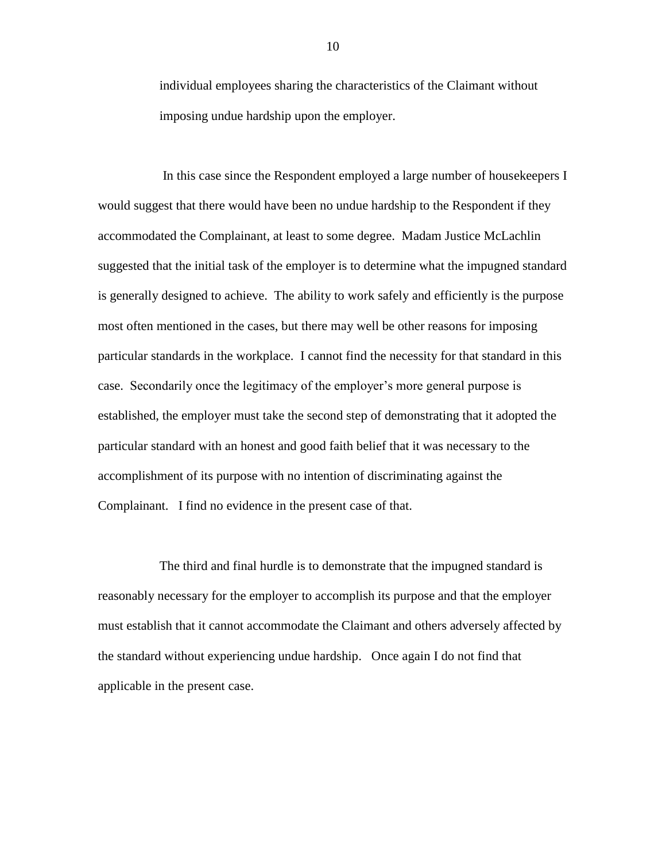individual employees sharing the characteristics of the Claimant without imposing undue hardship upon the employer.

In this case since the Respondent employed a large number of housekeepers I would suggest that there would have been no undue hardship to the Respondent if they accommodated the Complainant, at least to some degree. Madam Justice McLachlin suggested that the initial task of the employer is to determine what the impugned standard is generally designed to achieve. The ability to work safely and efficiently is the purpose most often mentioned in the cases, but there may well be other reasons for imposing particular standards in the workplace. I cannot find the necessity for that standard in this case. Secondarily once the legitimacy of the employer's more general purpose is established, the employer must take the second step of demonstrating that it adopted the particular standard with an honest and good faith belief that it was necessary to the accomplishment of its purpose with no intention of discriminating against the Complainant. I find no evidence in the present case of that.

The third and final hurdle is to demonstrate that the impugned standard is reasonably necessary for the employer to accomplish its purpose and that the employer must establish that it cannot accommodate the Claimant and others adversely affected by the standard without experiencing undue hardship. Once again I do not find that applicable in the present case.

10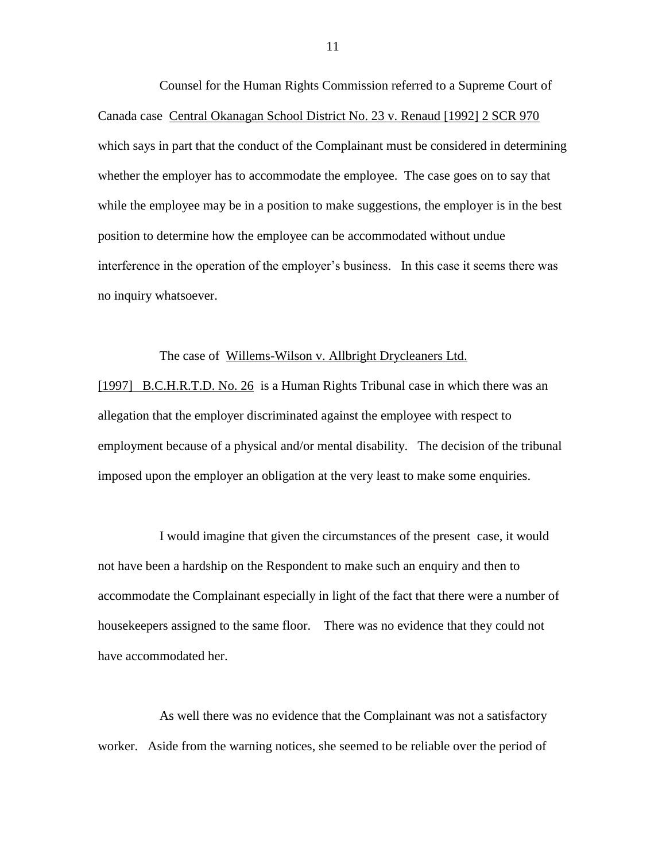Counsel for the Human Rights Commission referred to a Supreme Court of Canada case Central Okanagan School District No. 23 v. Renaud [1992] 2 SCR 970 which says in part that the conduct of the Complainant must be considered in determining whether the employer has to accommodate the employee. The case goes on to say that while the employee may be in a position to make suggestions, the employer is in the best position to determine how the employee can be accommodated without undue interference in the operation of the employer's business. In this case it seems there was no inquiry whatsoever.

#### The case of Willems-Wilson v. Allbright Drycleaners Ltd.

[1997] B.C.H.R.T.D. No. 26 is a Human Rights Tribunal case in which there was an allegation that the employer discriminated against the employee with respect to employment because of a physical and/or mental disability. The decision of the tribunal imposed upon the employer an obligation at the very least to make some enquiries.

I would imagine that given the circumstances of the present case, it would not have been a hardship on the Respondent to make such an enquiry and then to accommodate the Complainant especially in light of the fact that there were a number of housekeepers assigned to the same floor. There was no evidence that they could not have accommodated her.

As well there was no evidence that the Complainant was not a satisfactory worker. Aside from the warning notices, she seemed to be reliable over the period of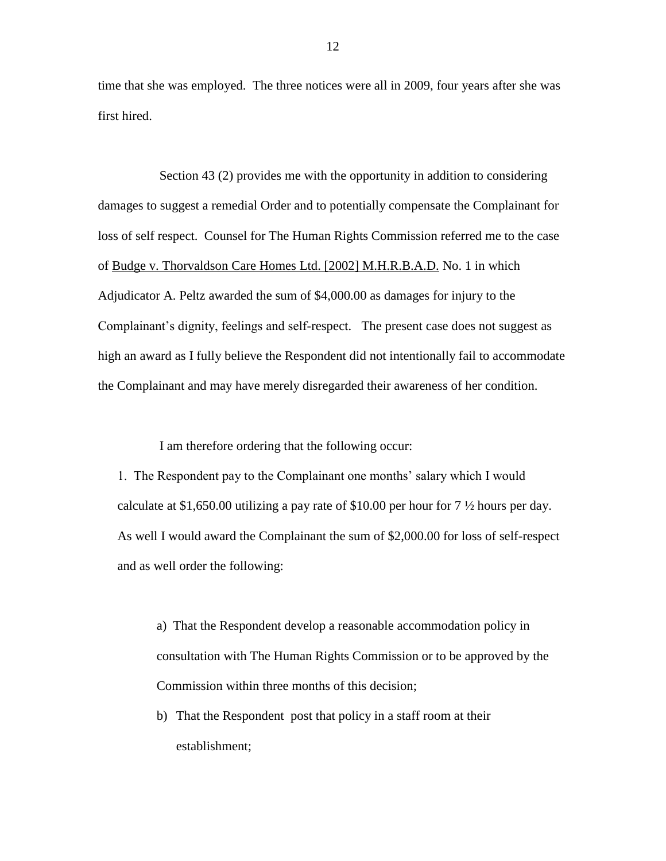time that she was employed. The three notices were all in 2009, four years after she was first hired.

Section 43 (2) provides me with the opportunity in addition to considering damages to suggest a remedial Order and to potentially compensate the Complainant for loss of self respect. Counsel for The Human Rights Commission referred me to the case of Budge v. Thorvaldson Care Homes Ltd. [2002] M.H.R.B.A.D. No. 1 in which Adjudicator A. Peltz awarded the sum of \$4,000.00 as damages for injury to the Complainant's dignity, feelings and self-respect. The present case does not suggest as high an award as I fully believe the Respondent did not intentionally fail to accommodate the Complainant and may have merely disregarded their awareness of her condition.

I am therefore ordering that the following occur:

1. The Respondent pay to the Complainant one months' salary which I would calculate at \$1,650.00 utilizing a pay rate of \$10.00 per hour for 7 ½ hours per day. As well I would award the Complainant the sum of \$2,000.00 for loss of self-respect and as well order the following:

a) That the Respondent develop a reasonable accommodation policy in consultation with The Human Rights Commission or to be approved by the Commission within three months of this decision;

b) That the Respondent post that policy in a staff room at their establishment;

12